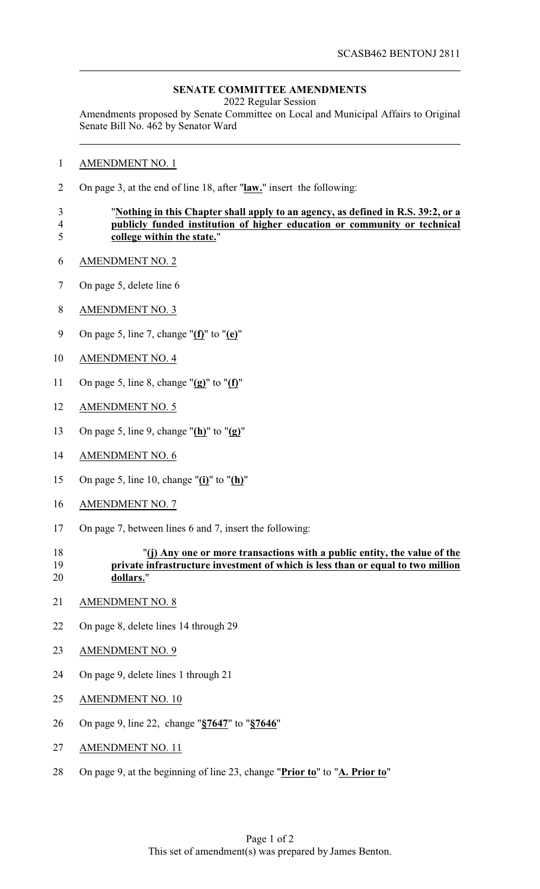## **SENATE COMMITTEE AMENDMENTS**

2022 Regular Session

Amendments proposed by Senate Committee on Local and Municipal Affairs to Original Senate Bill No. 462 by Senator Ward

- AMENDMENT NO. 1
- On page 3, at the end of line 18, after "**law.**" insert the following:

## "**Nothing in this Chapter shall apply to an agency, as defined in R.S. 39:2, or a publicly funded institution of higher education or community or technical college within the state.**"

- AMENDMENT NO. 2
- On page 5, delete line 6
- AMENDMENT NO. 3
- On page 5, line 7, change "**(f)**" to "**(e)**"
- AMENDMENT NO. 4
- On page 5, line 8, change "**(g)**" to "**(f)**"
- AMENDMENT NO. 5
- On page 5, line 9, change "**(h)**" to "**(g)**"
- AMENDMENT NO. 6
- On page 5, line 10, change "**(i)**" to "**(h)**"
- AMENDMENT NO. 7
- On page 7, between lines 6 and 7, insert the following:
- "**(j) Any one or more transactions with a public entity, the value of the private infrastructure investment of which is less than or equal to two million dollars.**"
- AMENDMENT NO. 8
- On page 8, delete lines 14 through 29
- AMENDMENT NO. 9
- On page 9, delete lines 1 through 21
- AMENDMENT NO. 10
- On page 9, line 22, change "**§7647**" to "**§7646**"
- 27 AMENDMENT NO. 11
- On page 9, at the beginning of line 23, change "**Prior to**" to "**A. Prior to**"